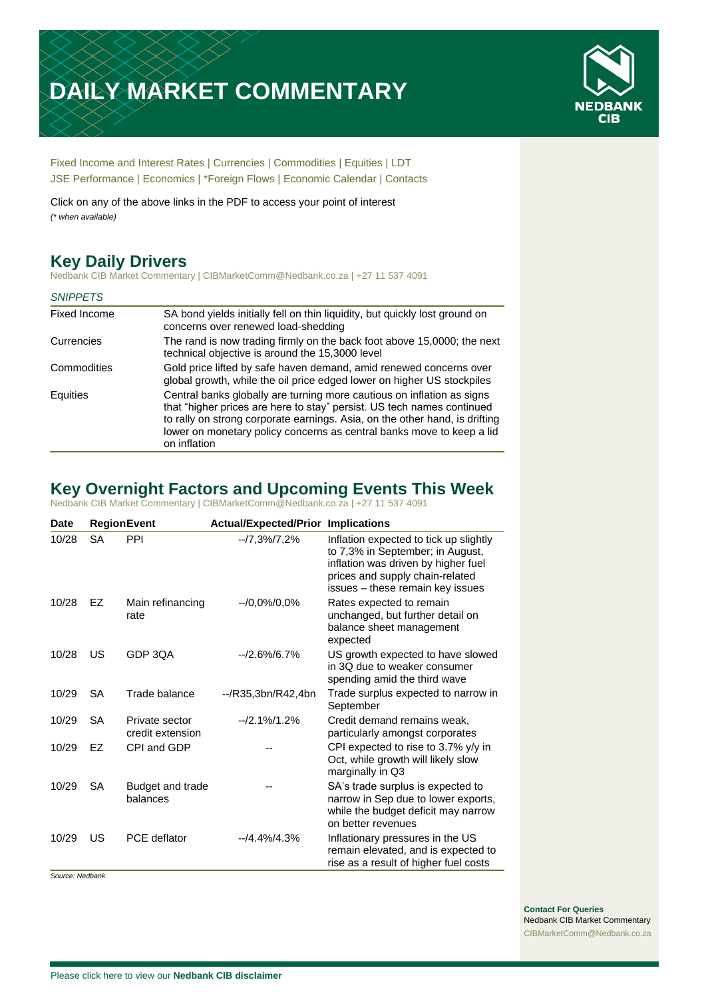# **DAILY MARKET COMMENTARY**



[Fixed Income and Interest Rates](#page-1-0) | [Currencies](#page-2-0) | [Commodities](#page-3-0) [| Equities](#page-4-0) | [LDT](#page-5-0) [JSE Performance](#page-6-0) | [Economics](#page-7-0) | \*Foreign Flows | [Economic Calendar](#page-7-0) | [Contacts](#page-8-0)

Click on any of the above links in the PDF to access your point of interest *(\* when available)*

# **Key Daily Drivers**

Nedbank CIB Market Commentary | CIBMarketComm@Nedbank.co.za | +27 11 537 4091

| <b>SNIPPETS</b> |                                                                                                                                                                                                                                                                                                                          |
|-----------------|--------------------------------------------------------------------------------------------------------------------------------------------------------------------------------------------------------------------------------------------------------------------------------------------------------------------------|
| Fixed Income    | SA bond yields initially fell on thin liquidity, but quickly lost ground on<br>concerns over renewed load-shedding                                                                                                                                                                                                       |
| Currencies      | The rand is now trading firmly on the back foot above 15,0000; the next<br>technical objective is around the 15,3000 level                                                                                                                                                                                               |
| Commodities     | Gold price lifted by safe haven demand, amid renewed concerns over<br>global growth, while the oil price edged lower on higher US stockpiles                                                                                                                                                                             |
| Equities        | Central banks globally are turning more cautious on inflation as signs<br>that "higher prices are here to stay" persist. US tech names continued<br>to rally on strong corporate earnings. Asia, on the other hand, is drifting<br>lower on monetary policy concerns as central banks move to keep a lid<br>on inflation |

# **Key Overnight Factors and Upcoming Events This Week**

Nedbank CIB Market Commentary | CIBMarketComm@Nedbank.co.za | +27 11 537 4091

| Date  |           | <b>RegionEvent</b>                 | <b>Actual/Expected/Prior Implications</b> |                                                                                                                                                                                          |
|-------|-----------|------------------------------------|-------------------------------------------|------------------------------------------------------------------------------------------------------------------------------------------------------------------------------------------|
| 10/28 | <b>SA</b> | PPI                                | $-7,3\%/7,2\%$                            | Inflation expected to tick up slightly<br>to 7,3% in September; in August,<br>inflation was driven by higher fuel<br>prices and supply chain-related<br>issues - these remain key issues |
| 10/28 | EZ        | Main refinancing<br>rate           | $-70,0\%/0,0\%$                           | Rates expected to remain<br>unchanged, but further detail on<br>balance sheet management<br>expected                                                                                     |
| 10/28 | US        | GDP 3QA                            | $-2.6\%/6.7\%$                            | US growth expected to have slowed<br>in 3Q due to weaker consumer<br>spending amid the third wave                                                                                        |
| 10/29 | <b>SA</b> | Trade balance                      | --/R35,3bn/R42,4bn                        | Trade surplus expected to narrow in<br>September                                                                                                                                         |
| 10/29 | <b>SA</b> | Private sector<br>credit extension | $-12.1\%/1.2\%$                           | Credit demand remains weak.<br>particularly amongst corporates                                                                                                                           |
| 10/29 | FZ.       | CPI and GDP                        |                                           | CPI expected to rise to 3.7% y/y in<br>Oct, while growth will likely slow<br>marginally in Q3                                                                                            |
| 10/29 | SA        | Budget and trade<br>balances       |                                           | SA's trade surplus is expected to<br>narrow in Sep due to lower exports,<br>while the budget deficit may narrow<br>on better revenues                                                    |
| 10/29 | US        | <b>PCE</b> deflator                | $-14.4\%$ $4.3\%$                         | Inflationary pressures in the US<br>remain elevated, and is expected to<br>rise as a result of higher fuel costs                                                                         |

*Source: Nedbank*

**Contact For Queries** Nedbank CIB Market Commentary [CIBMarketComm@Nedbank.co.za](file:///C:/Users/Paul-Rose/AppData/Roaming/Bluecurve/templates/CIBMarketComm@Nedbank.co.za)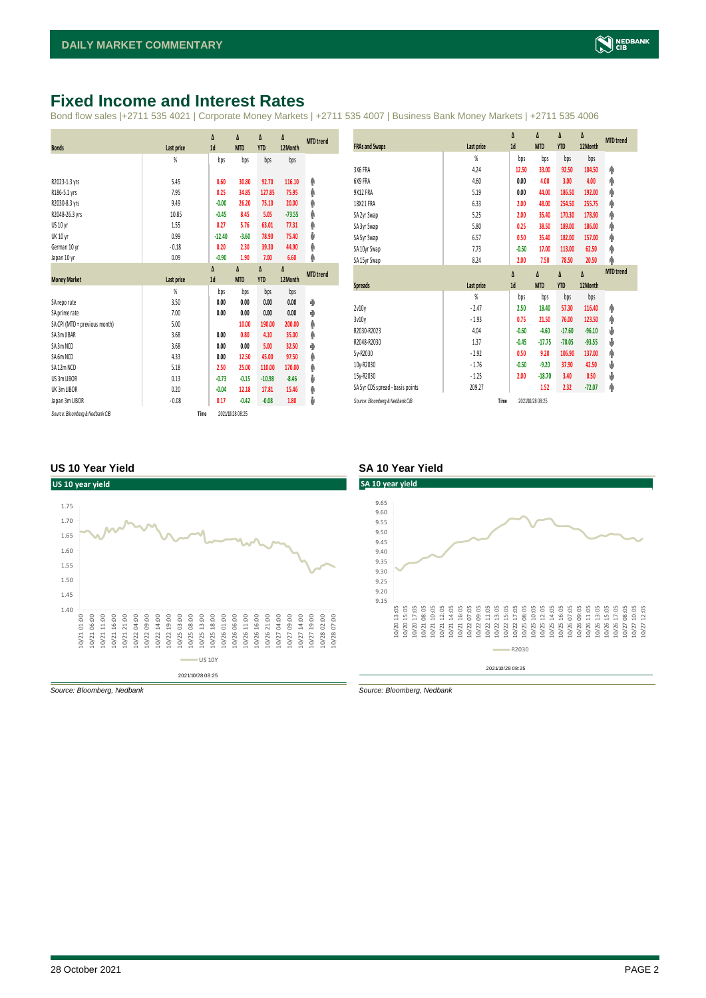### <span id="page-1-0"></span>**Fixed Income and Interest Rates**

Bond flow sales |+2711 535 4021 | Corporate Money Markets | +2711 535 4007 | Business Bank Money Markets | +2711 535 4006

|                               |            | Δ        | Δ          | Δ          | Δ        | <b>MTD</b> trend |
|-------------------------------|------------|----------|------------|------------|----------|------------------|
| <b>Bonds</b>                  | Last price | 1d       | <b>MTD</b> | <b>YTD</b> | 12Month  |                  |
|                               | %          | bps      | bps        | bps        | bps      |                  |
| R2023-1.3 yrs                 | 5.45       | 0.60     | 30.80      | 92.70      | 116.10   | Φ                |
| R186-5.1 yrs                  | 7.95       | 0.25     | 34.85      | 127.85     | 75.95    | φ                |
| R2030-8.3 yrs                 | 9.49       | $-0.00$  | 26.20      | 75.10      | 20.00    | φ                |
| R2048-26.3 yrs                | 10.85      | $-0.45$  | 8.45       | 5.05       | $-73.55$ | φ                |
| US 10 yr                      | 1.55       | 0.27     | 5.76       | 63.01      | 77.31    | Φ                |
| <b>UK 10 yr</b>               | 0.99       | $-12.40$ | $-3.60$    | 78.90      | 75.40    | ψ                |
| German 10 yr                  | $-0.18$    | 0.20     | 2.30       | 39.30      | 44.90    | φ                |
| Japan 10 yr                   | 0.09       | $-0.90$  | 1.90       | 7.00       | 6.60     | φ                |
|                               |            | Δ        | Δ          | Δ          | Δ        | <b>MTD</b> trend |
| <b>Money Market</b>           | Last price | 1d       | <b>MTD</b> | <b>YTD</b> | 12 Month |                  |
|                               | %          | bps      | bps        | bps        | bps      |                  |
| SA reporate                   | 3.50       | 0.00     | 0.00       | 0.00       | 0.00     | ۰                |
| SA prime rate                 | 7.00       | 0.00     | 0.00       | 0.00       | 0.00     | ۰                |
| SA CPI (MTD = previous month) | 5.00       |          | 10.00      | 190.00     | 200.00   | φ                |
| SA 3m JIBAR                   | 3.68       | 0.00     | 0.80       | 4.10       | 35.00    | φ                |
| SA 3m NCD                     | 3.68       | 0.00     | 0.00       | 5.00       | 32.50    | ۰                |
| SA 6m NCD                     | 4.33       | 0.00     | 12.50      | 45.00      | 97.50    | Φ                |
| SA 12m NCD                    | 5.18       | 2.50     | 25.00      | 110.00     | 170.00   | φ                |
| US 3m LIBOR                   | 0.13       | $-0.73$  | $-0.15$    | $-10.98$   | $-8.46$  | ψ                |
|                               |            |          |            |            |          |                  |
| UK 3m LIBOR                   | 0.20       | $-0.04$  | 12.18      | 17.81      | 15.46    | φ                |
| Japan 3m LIBOR                | $-0.08$    | 0.17     | $-0.42$    | $-0.08$    | 1.80     | ψ                |

|                                  |            | Δ        | Δ                | Δ          | Δ        | <b>MTD</b> trend |
|----------------------------------|------------|----------|------------------|------------|----------|------------------|
| <b>FRAs and Swaps</b>            | Last price | 1d       | <b>MTD</b>       | <b>YTD</b> | 12Month  |                  |
|                                  | %          | bps      | bps              | bps        | bps      |                  |
| 3X6 FRA                          | 4.24       | 12.50    | 33.00            | 92.50      | 104.50   | Φ                |
| 6X9 FRA                          | 4.60       | 0.00     | 4.00             | 3.00       | 4.00     | φ                |
| 9X12 FRA                         | 5.19       | 0.00     | 44.00            | 186.50     | 192.00   | φ                |
| 18X21 FRA                        | 6.33       | 2.00     | 48.00            | 254.50     | 255.75   | φ                |
| SA 2yr Swap                      | 5.25       | 2.00     | 35.40            | 170.30     | 178.90   | φ                |
| SA 3yr Swap                      | 5.80       | 0.25     | 38.50            | 189.00     | 186.00   | Φ                |
| SA 5yr Swap                      | 6.57       | 0.50     | 35.40            | 182.00     | 157.00   | φ                |
| SA 10yr Swap                     | 7.73       | $-0.50$  | 17.00            | 113.00     | 62.50    | Φ                |
| SA 15yr Swap                     | 8.24       | 2.00     | 7.50             | 78.50      | 20.50    | φ                |
|                                  |            | $\Delta$ | $\Delta$         | Δ          | Δ        | <b>MTD</b> trend |
| Spreads                          | Last price | 1d       | <b>MTD</b>       | <b>YTD</b> | 12Month  |                  |
|                                  | %          | bps      | bps              | bps        | bps      |                  |
| 2v10v                            | $-2.47$    | 2.50     | 18.40            | 57.30      | 116.40   | Φ                |
| 3v10v                            | $-1.93$    | 0.75     | 21.50            | 76.00      | 123.50   | Φ                |
| R2030-R2023                      | 4.04       | $-0.60$  | $-4.60$          | $-17.60$   | $-96.10$ | ψ                |
| R2048-R2030                      | 1.37       | $-0.45$  | $-17.75$         | $-70.05$   | $-93.55$ | ψ                |
| 5y-R2030                         | $-2.92$    | 0.50     | 9.20             | 106.90     | 137.00   | φ                |
| 10y-R2030                        | $-1.76$    | $-0.50$  | $-9.20$          | 37.90      | 42.50    | ψ                |
| 15y-R2030                        | $-1.25$    | 2.00     | $-18.70$         | 3.40       | 0.50     | ψ                |
| SA 5yr CDS spread - basis points | 209.27     |          | 1.52             | 2.32       | $-72.07$ | φ                |
| Source: Bloomberg & Nedbank CIB  | Time       |          | 2021/10/28 08:25 |            |          |                  |

#### **US 10 Year Yield SA 10 Year Yield**



2021/10/28 08:25



*Source: Bloomberg, Nedbank Source: Bloomberg, Nedbank*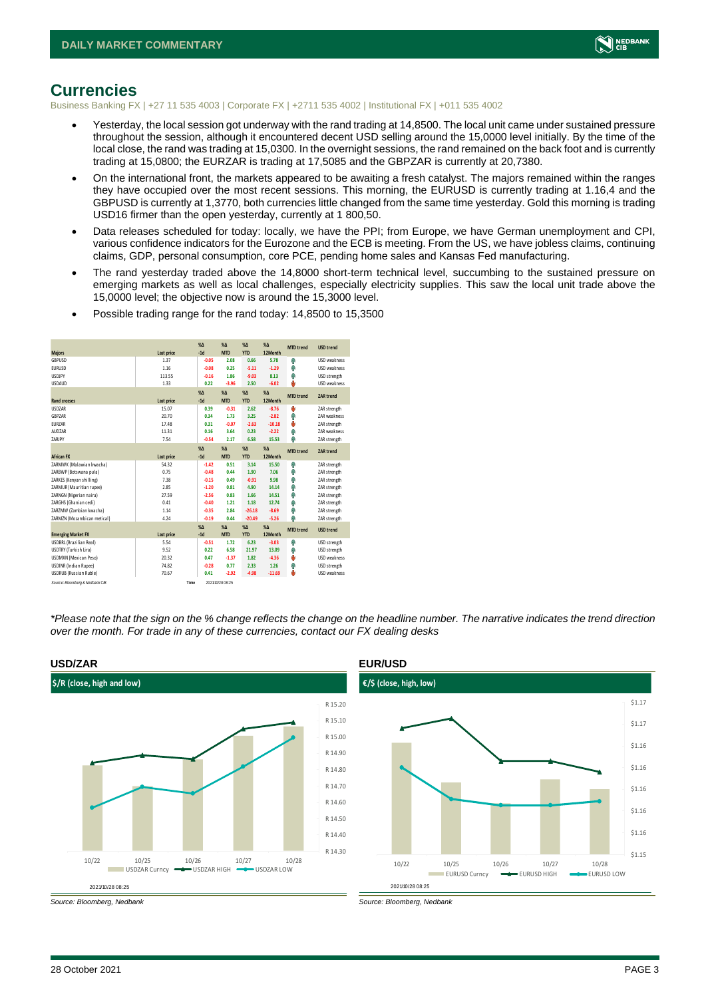

#### <span id="page-2-0"></span>**Currencies**

Business Banking FX | +27 11 535 4003 | Corporate FX | +2711 535 4002 | Institutional FX | +011 535 4002

- Yesterday, the local session got underway with the rand trading at 14,8500. The local unit came under sustained pressure throughout the session, although it encountered decent USD selling around the 15,0000 level initially. By the time of the local close, the rand was trading at 15,0300. In the overnight sessions, the rand remained on the back foot and is currently trading at 15,0800; the EURZAR is trading at 17,5085 and the GBPZAR is currently at 20,7380.
- On the international front, the markets appeared to be awaiting a fresh catalyst. The majors remained within the ranges they have occupied over the most recent sessions. This morning, the EURUSD is currently trading at 1.16,4 and the GBPUSD is currently at 1,3770, both currencies little changed from the same time yesterday. Gold this morning is trading USD16 firmer than the open yesterday, currently at 1 800,50.
- Data releases scheduled for today: locally, we have the PPI; from Europe, we have German unemployment and CPI, various confidence indicators for the Eurozone and the ECB is meeting. From the US, we have jobless claims, continuing claims, GDP, personal consumption, core PCE, pending home sales and Kansas Fed manufacturing.
- The rand yesterday traded above the 14,8000 short-term technical level, succumbing to the sustained pressure on emerging markets as well as local challenges, especially electricity supplies. This saw the local unit trade above the 15,0000 level; the objective now is around the 15,3000 level.

|                                 |            |      | $X\Lambda$      | $X\Lambda$       | $\chi_{\Delta}$ | $% \Delta$ | <b>MTD</b> trend | <b>USD trend</b>    |
|---------------------------------|------------|------|-----------------|------------------|-----------------|------------|------------------|---------------------|
| <b>Majors</b>                   | Last price |      | $-1d$           | <b>MTD</b>       | <b>YTD</b>      | 12 Month   |                  |                     |
| GBPUSD                          | 1.37       |      | $-0.05$         | 2.08             | 0.66            | 5.78       | Φ                | <b>USD</b> weakness |
| <b>EURUSD</b>                   | 1.16       |      | $-0.08$         | 0.25             | $-5.11$         | $-1.29$    | Φ                | <b>USD</b> weakness |
| <b>USDJPY</b>                   | 113.55     |      | $-0.16$         | 1.86             | $-9.03$         | 8.13       | Φ                | USD strength        |
| <b>USDAUD</b>                   | 1.33       |      | 0.22            | $-3.96$          | 2.50            | $-6.02$    | Ó                | <b>USD</b> weakness |
|                                 |            |      | $X\Lambda$      | $X\Lambda$       | $X\Delta$       | %          |                  | ZAR trend           |
| <b>Rand crosses</b>             | Last price |      | $-1d$           | <b>MTD</b>       | <b>YTD</b>      | 12Month    | <b>MTD</b> trend |                     |
| <b>USDZAR</b>                   | 15.07      |      | 0.39            | $-0.31$          | 2.62            | $-8.76$    | O                | ZAR strength        |
| GBPZAR                          | 20.70      |      | 0.34            | 1.73             | 3.25            | $-2.82$    | Φ                | ZAR weakness        |
| <b>EURZAR</b>                   | 17.48      |      | 0.31            | $-0.07$          | $-2.63$         | $-10.18$   | Φ                | ZAR strength        |
| AUDZAR                          | 11.31      |      | 0.16            | 3.64             | 0.23            | $-2.22$    | Φ                | <b>7AR</b> weakness |
| ZARJPY                          | 7.54       |      | $-0.54$         | 2.17             | 6.58            | 15.53      | Φ                | ZAR strength        |
|                                 |            |      | $\chi_{\Delta}$ | $X\Lambda$       | $\chi_{\Delta}$ | $% \Delta$ |                  |                     |
| <b>African FX</b>               | Last price |      | $-1d$           | <b>MTD</b>       | <b>YTD</b>      | 12Month    | <b>MTD</b> trend | ZAR trend           |
| ZARMWK (Malawian kwacha)        | 54.32      |      | $-1.42$         | 0.51             | 3.14            | 15.50      | Φ                | ZAR strength        |
| ZARBWP (Botswana pula)          | 0.75       |      | $-0.48$         | 0.44             | 1.90            | 7.06       | Φ                | ZAR strength        |
| ZARKES (Kenyan shilling)        | 7.38       |      | $-0.15$         | 0.49             | $-0.91$         | 9.98       | Φ                | ZAR strength        |
| ZARMUR (Mauritian rupee)        | 2.85       |      | $-1.20$         | 0.81             | 4.90            | 14.14      | Φ                | ZAR strength        |
| ZARNGN (Nigerian naira)         | 27.59      |      | $-2.56$         | 0.83             | 1.66            | 14.51      | Φ                | ZAR strength        |
| ZARGHS (Ghanian cedi)           | 0.41       |      | $-0.40$         | 1.21             | 1.18            | 12.74      | Φ                | ZAR strength        |
| ZARZMW (Zambian kwacha)         | 1.14       |      | $-0.35$         | 2.84             | $-26.18$        | $-8.69$    | Φ                | ZAR strength        |
| ZARMZN (Mozambican metical)     | 4.24       |      | $-0.19$         | 0.44             | $-20.49$        | $-5.26$    | Φ                | ZAR strength        |
|                                 |            |      | $X\Lambda$      | $X\Lambda$       | $\%$ $\Lambda$  | %          |                  |                     |
| <b>Emerging Market FX</b>       | Last price |      | $-1d$           | <b>MTD</b>       | <b>YTD</b>      | 12 Month   | <b>MTD</b> trend | <b>USD trend</b>    |
| USDBRL (Brazilian Real)         | 5.54       |      | $-0.51$         | 1.72             | 6.23            | $-3.03$    | Φ                | USD strength        |
| <b>USDTRY (Turkish Lira)</b>    | 9.52       |      | 0.22            | 6.58             | 21.97           | 13.09      | Φ                | USD strength        |
| <b>USDMXN</b> (Mexican Peso)    | 20.32      |      | 0.47            | $-1.37$          | 1.82            | $-4.36$    | Φ                | USD weakness        |
| <b>USDINR</b> (Indian Rupee)    | 74.82      |      | $-0.28$         | 0.77             | 2.33            | 1.26       | Φ                | USD strength        |
| <b>USDRUB</b> (Russian Ruble)   | 70.67      |      | 0.41            | $-2.92$          | $-4.98$         | $-11.69$   | O                | <b>USD</b> weakness |
| Source: Bloomberg & Nedbank CIB |            | Time |                 | 2021/10/28 08:25 |                 |            |                  |                     |

• Possible trading range for the rand today: 14,8500 to 15,3500

*\*Please note that the sign on the % change reflects the change on the headline number. The narrative indicates the trend direction over the month. For trade in any of these currencies, contact our FX dealing desks*



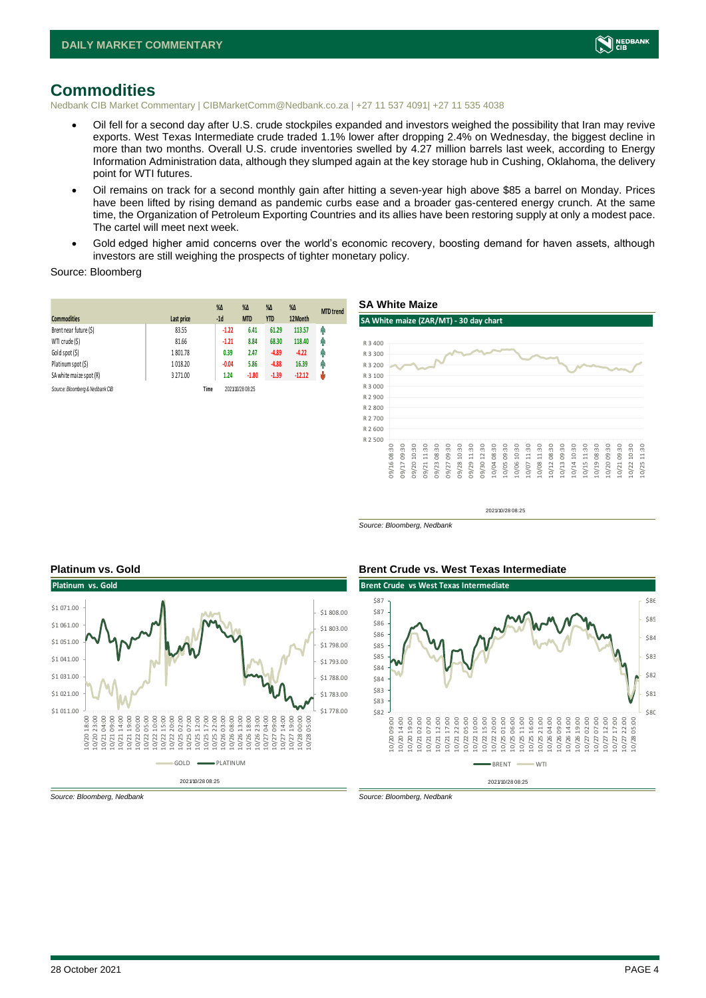

#### <span id="page-3-0"></span>**Commodities**

Nedbank CIB Market Commentary | CIBMarketComm@Nedbank.co.za | +27 11 537 4091| +27 11 535 4038

- Oil fell for a second day after U.S. crude stockpiles expanded and investors weighed the possibility that Iran may revive exports. West Texas Intermediate crude traded 1.1% lower after dropping 2.4% on Wednesday, the biggest decline in more than two months. Overall U.S. crude inventories swelled by 4.27 million barrels last week, according to Energy Information Administration data, although they slumped again at the key storage hub in Cushing, Oklahoma, the delivery point for WTI futures.
- Oil remains on track for a second monthly gain after hitting a seven-year high above \$85 a barrel on Monday. Prices have been lifted by rising demand as pandemic curbs ease and a broader gas-centered energy crunch. At the same time, the Organization of Petroleum Exporting Countries and its allies have been restoring supply at only a modest pace. The cartel will meet next week.
- Gold edged higher amid concerns over the world's economic recovery, boosting demand for haven assets, although investors are still weighing the prospects of tighter monetary policy.

Source: Bloomberg

| <b>Commodities</b>              | Last price | $\%$ $\Delta$<br>$-1d$ | $\%$ $\Delta$<br><b>MTD</b> | $\%$ $\Delta$<br><b>YTD</b> | $\%$ $\Delta$<br>12Month | <b>MTD</b> trend |
|---------------------------------|------------|------------------------|-----------------------------|-----------------------------|--------------------------|------------------|
| Brent near future (\$)          | 83.55      | $-1.22$                | 6.41                        | 61.29                       | 113.57                   | φ                |
| WTI crude (\$)                  | 81.66      | $-1.21$                | 8.84                        | 68.30                       | 118.40                   | φ                |
| Gold spot (\$)                  | 1801.78    | 0.39                   | 2.47                        | $-4.89$                     | $-4.22$                  | φ                |
| Platinum spot (\$)              | 1018.20    | $-0.04$                | 5.86                        | $-4.88$                     | 16.39                    | φ                |
| SA white maize spot (R)         | 3 2 7 1.00 | 1.24                   | $-1.80$                     | $-1.39$                     | $-12.12$                 | Ů                |
| Source: Bloomberg & Nedbank CIB | Time       |                        | 2021/10/28 08:25            |                             |                          |                  |

**SA White Maize**



2021/10/28 08:25

*Source: Bloomberg, Nedbank*





*Source: Bloomberg, Nedbank Source: Bloomberg, Nedbank*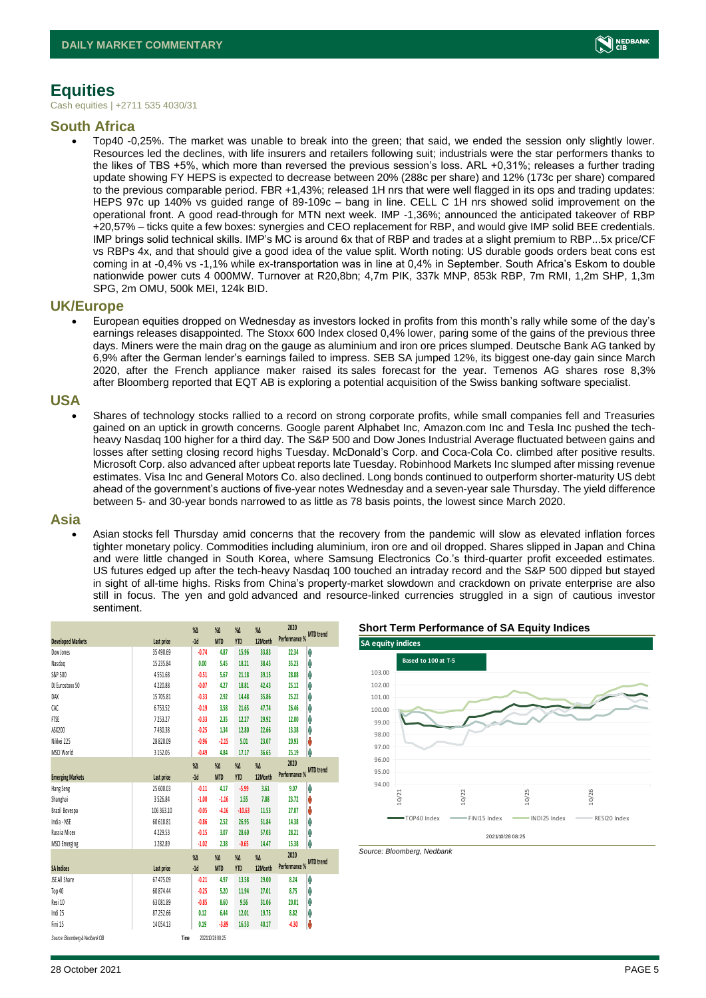

#### <span id="page-4-0"></span>**Equities**

Cash equities | +2711 535 4030/31

#### **South Africa**

• Top40 -0,25%. The market was unable to break into the green; that said, we ended the session only slightly lower. Resources led the declines, with life insurers and retailers following suit; industrials were the star performers thanks to the likes of TBS +5%, which more than reversed the previous session's loss. ARL +0,31%; releases a further trading update showing FY HEPS is expected to decrease between 20% (288c per share) and 12% (173c per share) compared to the previous comparable period. FBR +1,43%; released 1H nrs that were well flagged in its ops and trading updates: HEPS 97c up 140% vs guided range of 89-109c – bang in line. CELL C 1H nrs showed solid improvement on the operational front. A good read-through for MTN next week. IMP -1,36%; announced the anticipated takeover of RBP +20,57% – ticks quite a few boxes: synergies and CEO replacement for RBP, and would give IMP solid BEE credentials. IMP brings solid technical skills. IMP's MC is around 6x that of RBP and trades at a slight premium to RBP...5x price/CF vs RBPs 4x, and that should give a good idea of the value split. Worth noting: US durable goods orders beat cons est coming in at -0,4% vs -1,1% while ex-transportation was in line at 0,4% in September. South Africa's Eskom to double nationwide power cuts 4 000MW. Turnover at R20,8bn; 4,7m PIK, 337k MNP, 853k RBP, 7m RMI, 1,2m SHP, 1,3m SPG, 2m OMU, 500k MEI, 124k BID.

#### **UK/Europe**

• European equities dropped on Wednesday as investors locked in profits from this month's rally while some of the day's earnings releases disappointed. The Stoxx 600 Index closed 0,4% lower, paring some of the gains of the previous three days. Miners were the main drag on the gauge as aluminium and iron ore prices slumped. Deutsche Bank AG tanked by 6,9% after the German lender's earnings failed to impress. SEB SA jumped 12%, its biggest one-day gain since March 2020, after the French appliance maker raised its sales forecast for the year. Temenos AG shares rose 8,3% after Bloomberg reported that EQT AB is exploring a potential acquisition of the Swiss banking software specialist.

#### **USA**

• Shares of technology stocks rallied to a record on strong corporate profits, while small companies fell and Treasuries gained on an uptick in growth concerns. Google parent Alphabet Inc, Amazon.com Inc and Tesla Inc pushed the techheavy Nasdaq 100 higher for a third day. The S&P 500 and Dow Jones Industrial Average fluctuated between gains and losses after setting closing record highs Tuesday. McDonald's Corp. and Coca-Cola Co. climbed after positive results. Microsoft Corp. also advanced after upbeat reports late Tuesday. Robinhood Markets Inc slumped after missing revenue estimates. Visa Inc and General Motors Co. also declined. Long bonds continued to outperform shorter-maturity US debt ahead of the government's auctions of five-year notes Wednesday and a seven-year sale Thursday. The yield difference between 5- and 30-year bonds narrowed to as little as 78 basis points, the lowest since March 2020.

#### **Asia**

• Asian stocks fell Thursday amid concerns that the recovery from the pandemic will slow as elevated inflation forces tighter monetary policy. Commodities including aluminium, iron ore and oil dropped. Shares slipped in Japan and China and were little changed in South Korea, where Samsung Electronics Co.'s third-quarter profit exceeded estimates. US futures edged up after the tech-heavy Nasdaq 100 touched an intraday record and the S&P 500 dipped but stayed in sight of all-time highs. Risks from China's property-market slowdown and crackdown on private enterprise are also still in focus. The yen and gold advanced and resource-linked currencies struggled in a sign of cautious investor sentiment.

|                                 |             |      | $\%$ $\Delta$ | $\%$ $\Delta$    | %Δ         | $\sqrt{\Lambda}$ | 2020                    |                  |
|---------------------------------|-------------|------|---------------|------------------|------------|------------------|-------------------------|------------------|
| <b>Developed Markets</b>        | Last price  |      | $-1d$         | <b>MTD</b>       | <b>YTD</b> | 12Month          | Performance % MTD trend |                  |
| Dow Jones                       | 35 490.69   |      | $-0.74$       | 4.87             | 15.96      | 33.83            | 22.34                   | φ                |
| Nasdaq                          | 15 2 3 5.84 |      | 0.00          | 5.45             | 18.21      | 38.45            | 35.23                   | φ                |
| S&P 500                         | 4551.68     |      | $-0.51$       | 5.67             | 21.18      | 39.15            | 28.88                   | φ                |
| DJ Eurostoxx 50                 | 4 2 2 0.88  |      | $-0.07$       | 4.27             | 18.81      | 42.43            | 25.12                   | φ                |
| DAX                             | 15 705.81   |      | $-0.33$       | 2.92             | 14.48      | 35.86            | 25.22                   | Λ                |
| CAC                             | 6753.52     |      | $-0.19$       | 3.58             | 21.65      | 47.74            | 26.46                   | φ                |
| <b>FTSE</b>                     | 7253.27     |      | $-0.33$       | 2.35             | 12.27      | 29.92            | 12.00                   | φ                |
| ASX200                          | 7430.38     |      | $-0.25$       | 134              | 12.80      | 22.66            | 13.38                   | φ                |
| Nikkei 225                      | 28 8 20.09  |      | $-0.96$       | $-2.15$          | 5.01       | 23.07            | 20.93                   | Ů                |
| MSCI World                      | 3 15 2.05   |      | $-0.49$       | 4.84             | 17.17      | 36.65            | 25.19                   | φ                |
|                                 |             |      | $\%$ $\Delta$ | $\%$             | %Δ         | $\sqrt{\Lambda}$ | 2020                    |                  |
| <b>Emerging Markets</b>         | Last price  |      | $-1d$         | <b>MTD</b>       | <b>YTD</b> | 12Month          | Performance %           | <b>MTD</b> trend |
| Hang Seng                       | 25 600.03   |      | $-0.11$       | 4.17             | -5.99      | 3.61             | 9.07                    | Λ                |
| Shanghai                        | 3526.84     |      | $-1.00$       | $-1.16$          | 1.55       | 7.88             | 23.72                   | Ů                |
| Brazil Bovespa                  | 106 363.10  |      | $-0.05$       | $-4.16$          | $-10.63$   | 11.53            | 27.07                   | Ů                |
| India - NSE                     | 60 618.81   |      | $-0.86$       | 2.52             | 26.95      | 51.84            | 14.38                   | φ                |
| Russia Micex                    | 4 2 2 9 5 3 |      | $-0.15$       | 3.07             | 28.60      | 57.03            | 28.21                   | φ                |
| <b>MSCI Emerging</b>            | 1 282.89    |      | $-1.02$       | 2.38             | $-0.65$    | 14.47            | 15.38                   | φ                |
|                                 |             |      | $\%$ $\Delta$ | $\%$             | %Δ         | $X\Lambda$       | 2020                    | <b>MTD</b> trend |
| <b>SA Indices</b>               | Last price  |      | $-1d$         | <b>MTD</b>       | <b>YTD</b> | 12Month          | Performance %           |                  |
| <b>JSE All Share</b>            | 67 475.09   |      | $-0.21$       | 4.97             | 13.58      | 29.00            | 8.24                    | φ                |
| Top 40                          | 60 874.44   |      | $-0.25$       | 5.20             | 11.94      | 27.01            | 8.75                    | Λ                |
| Resi 10                         | 63 081.89   |      | $-0.85$       | 8.60             | 9.56       | 31.06            | 20.01                   | φ                |
| Indi 25                         | 87 25 2.66  |      | 0.12          | 6.44             | 12.01      | 19.75            | 8.82                    | φ                |
| Fini 15                         | 14 0 54.13  |      | 0.19          | $-3.89$          | 16.53      | 40.17            | $-4.30$                 | U                |
| Source: Bloomberg & Nedbank CIB |             | Time |               | 2021/10/28 08:25 |            |                  |                         |                  |

**Short Term Performance of SA Equity Indices**



*Source: Bloomberg, Nedbank*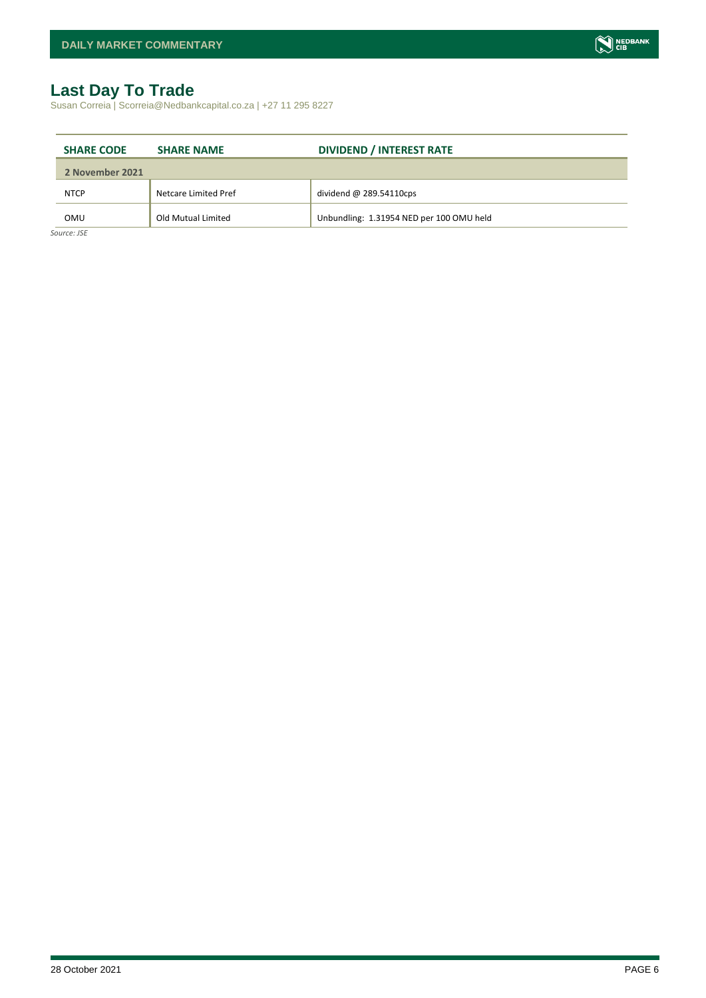### <span id="page-5-0"></span>**Last Day To Trade**

Susan Correia | Scorreia@Nedbankcapital.co.za | +27 11 295 8227

| <b>SHARE CODE</b> | <b>SHARE NAME</b>    | <b>DIVIDEND / INTEREST RATE</b>          |
|-------------------|----------------------|------------------------------------------|
| 2 November 2021   |                      |                                          |
| <b>NTCP</b>       | Netcare Limited Pref | dividend $@$ 289.54110cps                |
| OMU               | Old Mutual Limited   | Unbundling: 1.31954 NED per 100 OMU held |

*Source: JSE*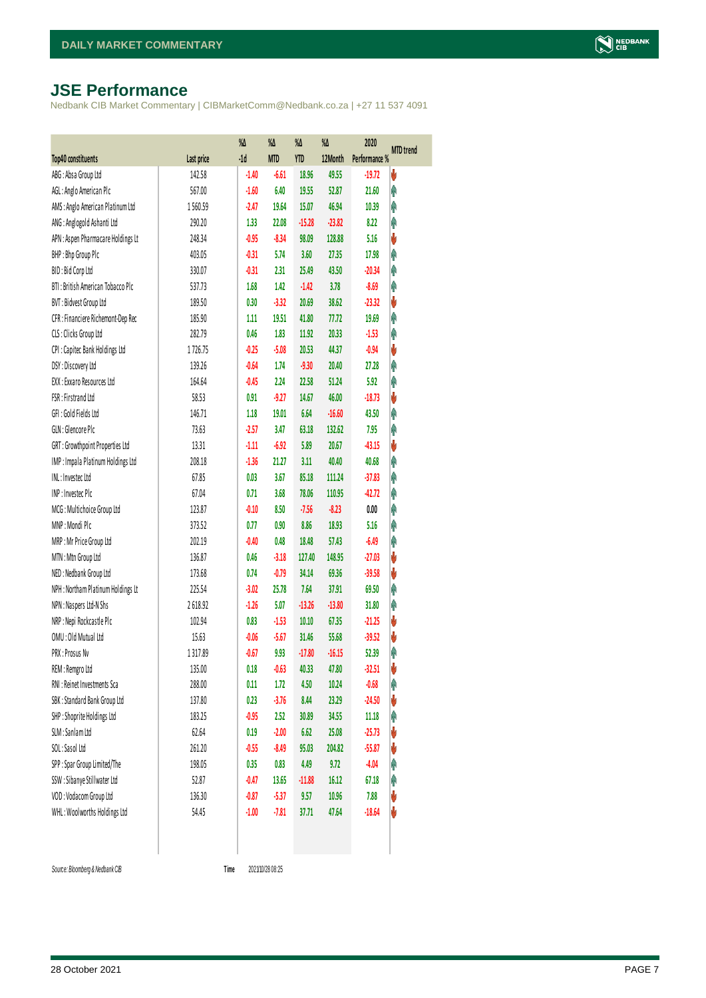## <span id="page-6-0"></span>**JSE Performance**

Nedbank CIB Market Commentary | CIBMarketComm@Nedbank.co.za | +27 11 537 4091

|                                    |            | %Δ      | %Δ         | %Δ         | $\%$     | 2020          | <b>MTD</b> trend |
|------------------------------------|------------|---------|------------|------------|----------|---------------|------------------|
| Top40 constituents                 | Last price | $-1d$   | <b>MTD</b> | <b>YTD</b> | 12Month  | Performance % |                  |
| ABG: Absa Group Ltd                | 142.58     | $-1.40$ | $-6.61$    | 18.96      | 49.55    | $-19.72$      | V                |
| AGL: Anglo American Plc            | 567.00     | $-1.60$ | 6.40       | 19.55      | 52.87    | 21.60         | Ą                |
| AMS: Anglo American Platinum Ltd   | 1560.59    | $-2.47$ | 19.64      | 15.07      | 46.94    | 10.39         | φ                |
| ANG: Anglogold Ashanti Ltd         | 290.20     | 1.33    | 22.08      | $-15.28$   | $-23.82$ | 8.22          | Ą                |
| APN : Aspen Pharmacare Holdings Lt | 248.34     | $-0.95$ | $-8.34$    | 98.09      | 128.88   | 5.16          | V                |
| BHP: Bhp Group Plc                 | 403.05     | $-0.31$ | 5.74       | 3.60       | 27.35    | 17.98         | Ą                |
| BID: Bid Corp Ltd                  | 330.07     | $-0.31$ | 2.31       | 25.49      | 43.50    | $-20.34$      | Ą                |
| BTI: British American Tobacco Plc  | 537.73     | 1.68    | 1.42       | $-1.42$    | 3.78     | $-8.69$       | Ą                |
| BVT: Bidvest Group Ltd             | 189.50     | 0.30    | $-3.32$    | 20.69      | 38.62    | $-23.32$      | V                |
| CFR : Financiere Richemont-Dep Rec | 185.90     | 1.11    | 19.51      | 41.80      | 77.72    | 19.69         | Ą                |
| CLS : Clicks Group Ltd             | 282.79     | 0.46    | 1.83       | 11.92      | 20.33    | $-1.53$       | Ą                |
| CPI: Capitec Bank Holdings Ltd     | 1726.75    | $-0.25$ | $-5.08$    | 20.53      | 44.37    | $-0.94$       | V                |
| DSY: Discovery Ltd                 | 139.26     | $-0.64$ | 1.74       | $-9.30$    | 20.40    | 27.28         | Ą                |
| EXX: Exxaro Resources Ltd          | 164.64     | $-0.45$ | 2.24       | 22.58      | 51.24    | 5.92          | Ą                |
| FSR: Firstrand Ltd                 | 58.53      | 0.91    | $-9.27$    | 14.67      | 46.00    | $-18.73$      | V                |
| GFI: Gold Fields Ltd               | 146.71     | 1.18    | 19.01      | 6.64       | $-16.60$ | 43.50         | Ą                |
| GLN : Glencore Plc                 | 73.63      | $-2.57$ | 3.47       | 63.18      | 132.62   | 7.95          | Ą                |
| GRT : Growthpoint Properties Ltd   | 13.31      | $-1.11$ | $-6.92$    | 5.89       | 20.67    | $-43.15$      | V                |
| IMP: Impala Platinum Holdings Ltd  | 208.18     | $-1.36$ | 21.27      | 3.11       | 40.40    | 40.68         | Ą                |
| INL: Investec Ltd                  | 67.85      | 0.03    | 3.67       | 85.18      | 111.24   | $-37.83$      | Ą                |
| INP: Invested Plc                  | 67.04      | 0.71    | 3.68       | 78.06      | 110.95   | $-42.72$      | Ą                |
| MCG: Multichoice Group Ltd         | 123.87     | $-0.10$ | 8.50       | $-7.56$    | $-8.23$  | 0.00          | φ                |
| MNP: Mondi Plc                     | 373.52     | 0.77    | 0.90       | 8.86       | 18.93    | 5.16          | Ą                |
| MRP: Mr Price Group Ltd            | 202.19     | $-0.40$ | 0.48       | 18.48      | 57.43    | $-6.49$       | Ą                |
| MTN: Mtn Group Ltd                 | 136.87     | 0.46    | $-3.18$    | 127.40     | 148.95   | $-27.03$      | V                |
| NED: Nedbank Group Ltd             | 173.68     | 0.74    | $-0.79$    | 34.14      | 69.36    | $-39.58$      | V                |
| NPH: Northam Platinum Holdings Lt  | 225.54     | $-3.02$ | 25.78      | 7.64       | 37.91    | 69.50         | Ą                |
| NPN: Naspers Ltd-N Shs             | 2618.92    | $-1.26$ | 5.07       | $-13.26$   | $-13.80$ | 31.80         | φ                |
| NRP : Nepi Rockcastle Plc          | 102.94     | 0.83    | $-1.53$    | 10.10      | 67.35    | $-21.25$      | V                |
| OMU: Old Mutual Ltd                | 15.63      | $-0.06$ | $-5.67$    | 31.46      | 55.68    | $-39.52$      | V                |
| PRX: Prosus Nv                     | 1317.89    | $-0.67$ | 9.93       | $-17.80$   | $-16.15$ | 52.39         | Ą                |
| REM : Remgro Ltd                   | 135.00     | 0.18    | $-0.63$    | 40.33      | 47.80    | $-32.51$      | V                |
| RNI : Reinet Investments Sca       | 288.00     | 0.11    | 1.72       | 4.50       | 10.24    | $-0.68$       | φ                |
| SBK: Standard Bank Group Ltd       | 137.80     | 0.23    | $-3.76$    | 8.44       | 23.29    | $-24.50$      | V                |
| SHP: Shoprite Holdings Ltd         | 183.25     | $-0.95$ | 2.52       | 30.89      | 34.55    | 11.18         | φ                |
| SLM : Sanlam Ltd                   | 62.64      | 0.19    | $-2.00$    | 6.62       | 25.08    | $-25.73$      | V                |
| SOL: Sasol Ltd                     | 261.20     | $-0.55$ | $-8.49$    | 95.03      | 204.82   | $-55.87$      | V                |
| SPP: Spar Group Limited/The        | 198.05     | 0.35    | 0.83       | 4.49       | 9.72     | $-4.04$       | φ                |
| SSW : Sibanye Stillwater Ltd       | 52.87      | $-0.47$ | 13.65      | $-11.88$   | 16.12    | 67.18         | φ                |
| VOD: Vodacom Group Ltd             | 136.30     | $-0.87$ | $-5.37$    | 9.57       | 10.96    | 7.88          | V                |
| WHL: Woolworths Holdings Ltd       | 54.45      | $-1.00$ | $-7.81$    | 37.71      | 47.64    | $-18.64$      | V                |
|                                    |            |         |            |            |          |               |                  |

Time 2021/10/28 08:25

 $Source: Bloomberg & Nedbank CB$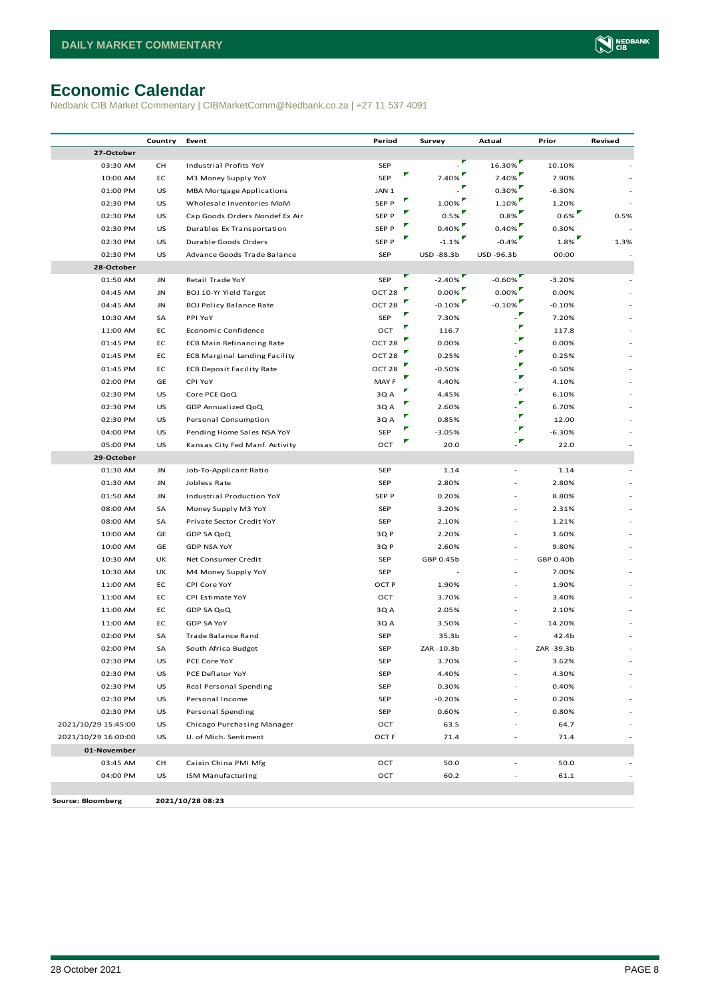# <span id="page-7-0"></span>**Economic Calendar**

Nedbank CIB Market Commentary | CIBMarketComm@Nedbank.co.za | +27 11 537 4091

|                     | Country | Event                                | Period            |   | Survey    | Actual     | Prior     | Revised |
|---------------------|---------|--------------------------------------|-------------------|---|-----------|------------|-----------|---------|
| 27-October          |         |                                      |                   |   |           |            |           |         |
| 03:30 AM            | CH      | Industrial Profits YoY               | SEP               |   | ÷,        | 16.30%     | 10.10%    |         |
| 10:00 AM            | EC      | M3 Money Supply YoY                  | SEP               | И | 7.40%     | 7.40%      | 7.90%     |         |
| 01:00 PM            | US      | <b>MBA Mortgage Applications</b>     | JAN 1             |   |           | $0.30\%$   | $-6.30%$  |         |
| 02:30 PM            | US      | Wholesale Inventories MoM            | SEP P             | ۳ | 1.00%     | 1.10%      | 1.20%     |         |
| 02:30 PM            | US      | Cap Goods Orders Nondef Ex Air       | SEP P             |   | 0.5%      | 0.8%       | $0.6\%$   | 0.5%    |
| 02:30 PM            | US      | Durables Ex Transportation           | SEP P             |   | 0.40%     | 0.40%      | 0.30%     |         |
| 02:30 PM            | US      | Durable Goods Orders                 | SEP P             |   | $-1.1%$   | $-0.4%$    | 1.8%      | 1.3%    |
| 02:30 PM            | US      | Advance Goods Trade Balance          | SEP               |   | USD-88.3b | USD -96.3b | 00:00     |         |
| 28-October          |         |                                      |                   |   |           |            |           |         |
| 01:50 AM            | JN      | Retail Trade YoY                     | SEP               |   | $-2.40\%$ | $-0.60\%$  | -3.20%    |         |
| 04:45 AM            | JN      | BOJ 10-Yr Yield Target               | OCT <sub>28</sub> |   | $0.00\%$  | $0.00\%$   | 0.00%     |         |
| 04:45 AM            | JN      | <b>BOJ Policy Balance Rate</b>       | OCT <sub>28</sub> |   | $-0.10\%$ | $-0.10%$   | $-0.10%$  |         |
| 10:30 AM            | SA      | PPI YoY                              | SEP               |   | 7.30%     |            | 7.20%     |         |
| 11:00 AM            | EC      | Economic Confidence                  | OCT               |   | 116.7     |            | 117.8     |         |
| 01:45 PM            | EC      | <b>ECB Main Refinancing Rate</b>     | OCT <sub>28</sub> |   | 0.00%     |            | 0.00%     |         |
| 01:45 PM            | EC      | <b>ECB Marginal Lending Facility</b> | OCT <sub>28</sub> |   | 0.25%     |            | 0.25%     |         |
| 01:45 PM            | EC      | <b>ECB Deposit Facility Rate</b>     | OCT <sub>28</sub> |   | $-0.50%$  | ▼          | $-0.50%$  |         |
| 02:00 PM            | GE      | CPI YoY                              | MAY F             |   | 4.40%     |            | 4.10%     |         |
| 02:30 PM            | US      | Core PCE QoQ                         | 3QA               |   | 4.45%     |            | 6.10%     |         |
| 02:30 PM            | US      | GDP Annualized QoQ                   | 3Q A              |   | 2.60%     |            | 6.70%     |         |
| 02:30 PM            | US      | Personal Consumption                 | 3Q A              | V | 0.85%     | v          | 12.00     |         |
| 04:00 PM            | US      | Pending Home Sales NSA YoY           | SEP               |   | $-3.05%$  |            | $-6.30%$  |         |
| 05:00 PM            | US      | Kansas City Fed Manf. Activity       | OCT               |   | 20.0      |            | 22.0      |         |
| 29-October          |         |                                      |                   |   |           |            |           |         |
| 01:30 AM            | JN      | Job-To-Applicant Ratio               | SEP               |   | 1.14      |            | 1.14      |         |
| 01:30 AM            | JN      | Jobless Rate                         | <b>SEP</b>        |   | 2.80%     | L,         | 2.80%     |         |
| 01:50 AM            | JN      | Industrial Production YoY            | SEP P             |   | 0.20%     |            | 8.80%     |         |
| 08:00 AM            | SA      | Money Supply M3 YoY                  | SEP               |   | 3.20%     |            | 2.31%     |         |
| 08:00 AM            | SA      | Private Sector Credit YoY            | SEP               |   | 2.10%     |            | 1.21%     |         |
| 10:00 AM            | GE      | GDP SA QoQ                           | 3QP               |   | 2.20%     |            | 1.60%     |         |
| 10:00 AM            | GE      | <b>GDP NSA YoY</b>                   | 3Q P              |   | 2.60%     | ×,         | 9.80%     |         |
| 10:30 AM            | UK      | Net Consumer Credit                  | SEP               |   | GBP 0.45b | ÷,         | GBP 0.40b |         |
| 10:30 AM            | UK      | M4 Money Supply YoY                  | SEP               |   |           |            | 7.00%     |         |
| 11:00 AM            | EC      | CPI Core YoY                         | OCT P             |   | 1.90%     |            | 1.90%     |         |
| 11:00 AM            | EC      | CPI Estimate YoY                     | OCT               |   | 3.70%     |            | 3.40%     |         |
| 11:00 AM            | EC      | GDP SA QoQ                           | 3Q A              |   | 2.05%     |            | 2.10%     |         |
| 11:00 AM            | EC      | <b>GDP SA YoY</b>                    | 3Q A              |   | 3.50%     |            | 14.20%    |         |
| 02:00 PM            | SA      | Trade Balance Rand                   | SEP               |   | 35.3b     |            | 42.4b     |         |
| 02:00 PM            | SA      | South Africa Budget                  | SEP               |   | ZAR-10.3b |            | ZAR-39.3b |         |
| 02:30 PM            | US      | PCE Core YoY                         | SEP               |   | 3.70%     |            | 3.62%     |         |
| 02:30 PM            | US      | PCE Deflator YoY                     | SEP               |   | 4.40%     |            | 4.30%     |         |
| 02:30 PM            | US      | Real Personal Spending               | SEP               |   | 0.30%     |            | 0.40%     |         |
| 02:30 PM            | US      | Personal Income                      | SEP               |   | $-0.20%$  |            | 0.20%     |         |
| 02:30 PM            | US      | Personal Spending                    | SEP               |   | 0.60%     |            | 0.80%     |         |
| 2021/10/29 15:45:00 | US      | Chicago Purchasing Manager           | OCT               |   | 63.5      |            | 64.7      |         |
| 2021/10/29 16:00:00 | US      | U. of Mich. Sentiment                | OCT F             |   | 71.4      |            | 71.4      |         |
| 01-November         |         |                                      |                   |   |           |            |           |         |
| 03:45 AM            | CH      | Caixin China PMI Mfg                 | OCT               |   | 50.0      |            | 50.0      |         |
| 04:00 PM            | US      | <b>ISM Manufacturing</b>             | OCT               |   | 60.2      |            | 61.1      |         |
|                     |         |                                      |                   |   |           |            |           |         |
| Source: Bloomberg   |         | 2021/10/28 08:23                     |                   |   |           |            |           |         |